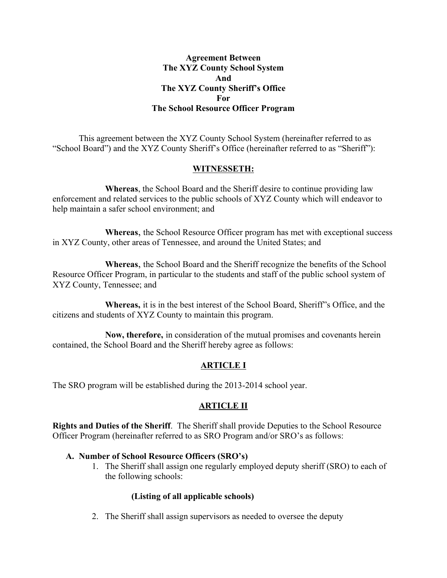#### **Agreement Between The XYZ County School System And The XYZ County Sheriff's Office For The School Resource Officer Program**

This agreement between the XYZ County School System (hereinafter referred to as "School Board") and the XYZ County Sheriff's Office (hereinafter referred to as "Sheriff"):

#### **WITNESSETH:**

**Whereas**, the School Board and the Sheriff desire to continue providing law enforcement and related services to the public schools of XYZ County which will endeavor to help maintain a safer school environment; and

**Whereas**, the School Resource Officer program has met with exceptional success in XYZ County, other areas of Tennessee, and around the United States; and

**Whereas**, the School Board and the Sheriff recognize the benefits of the School Resource Officer Program, in particular to the students and staff of the public school system of XYZ County, Tennessee; and

**Whereas,** it is in the best interest of the School Board, Sheriff"s Office, and the citizens and students of XYZ County to maintain this program.

**Now, therefore,** in consideration of the mutual promises and covenants herein contained, the School Board and the Sheriff hereby agree as follows:

# **ARTICLE I**

The SRO program will be established during the 2013-2014 school year.

## **ARTICLE II**

**Rights and Duties of the Sheriff**. The Sheriff shall provide Deputies to the School Resource Officer Program (hereinafter referred to as SRO Program and/or SRO's as follows:

#### **A. Number of School Resource Officers (SRO's)**

1. The Sheriff shall assign one regularly employed deputy sheriff (SRO) to each of the following schools:

## **(Listing of all applicable schools)**

2. The Sheriff shall assign supervisors as needed to oversee the deputy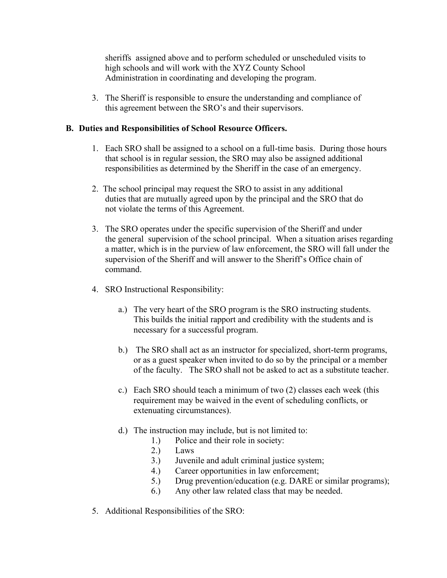sheriffs assigned above and to perform scheduled or unscheduled visits to high schools and will work with the XYZ County School Administration in coordinating and developing the program.

3. The Sheriff is responsible to ensure the understanding and compliance of this agreement between the SRO's and their supervisors.

## **B. Duties and Responsibilities of School Resource Officers.**

- 1. Each SRO shall be assigned to a school on a full-time basis. During those hours that school is in regular session, the SRO may also be assigned additional responsibilities as determined by the Sheriff in the case of an emergency.
- 2. The school principal may request the SRO to assist in any additional duties that are mutually agreed upon by the principal and the SRO that do not violate the terms of this Agreement.
- 3. The SRO operates under the specific supervision of the Sheriff and under the general supervision of the school principal. When a situation arises regarding a matter, which is in the purview of law enforcement, the SRO will fall under the supervision of the Sheriff and will answer to the Sheriff's Office chain of command.
- 4. SRO Instructional Responsibility:
	- a.) The very heart of the SRO program is the SRO instructing students. This builds the initial rapport and credibility with the students and is necessary for a successful program.
	- b.) The SRO shall act as an instructor for specialized, short-term programs, or as a guest speaker when invited to do so by the principal or a member of the faculty. The SRO shall not be asked to act as a substitute teacher.
	- c.) Each SRO should teach a minimum of two (2) classes each week (this requirement may be waived in the event of scheduling conflicts, or extenuating circumstances).
	- d.) The instruction may include, but is not limited to:
		- 1.) Police and their role in society:
		- 2.) Laws
		- 3.) Juvenile and adult criminal justice system;
		- 4.) Career opportunities in law enforcement;
		- 5.) Drug prevention/education (e.g. DARE or similar programs);
		- 6.) Any other law related class that may be needed.
- 5. Additional Responsibilities of the SRO: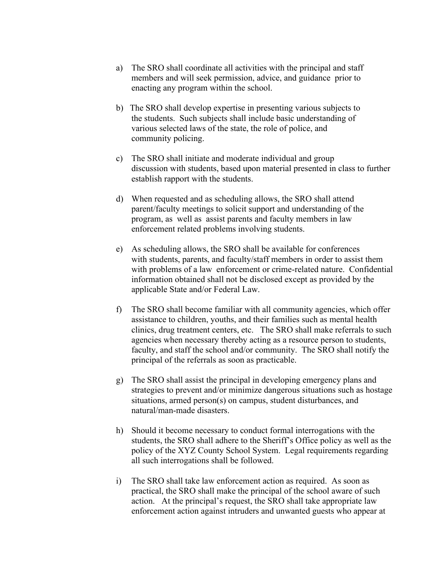- a) The SRO shall coordinate all activities with the principal and staff members and will seek permission, advice, and guidance prior to enacting any program within the school.
- b) The SRO shall develop expertise in presenting various subjects to the students. Such subjects shall include basic understanding of various selected laws of the state, the role of police, and community policing.
- c) The SRO shall initiate and moderate individual and group discussion with students, based upon material presented in class to further establish rapport with the students.
- d) When requested and as scheduling allows, the SRO shall attend parent/faculty meetings to solicit support and understanding of the program, as well as assist parents and faculty members in law enforcement related problems involving students.
- e) As scheduling allows, the SRO shall be available for conferences with students, parents, and faculty/staff members in order to assist them with problems of a law enforcement or crime-related nature. Confidential information obtained shall not be disclosed except as provided by the applicable State and/or Federal Law.
- f) The SRO shall become familiar with all community agencies, which offer assistance to children, youths, and their families such as mental health clinics, drug treatment centers, etc. The SRO shall make referrals to such agencies when necessary thereby acting as a resource person to students, faculty, and staff the school and/or community. The SRO shall notify the principal of the referrals as soon as practicable.
- g) The SRO shall assist the principal in developing emergency plans and strategies to prevent and/or minimize dangerous situations such as hostage situations, armed person(s) on campus, student disturbances, and natural/man-made disasters.
- h) Should it become necessary to conduct formal interrogations with the students, the SRO shall adhere to the Sheriff's Office policy as well as the policy of the XYZ County School System. Legal requirements regarding all such interrogations shall be followed.
- i) The SRO shall take law enforcement action as required. As soon as practical, the SRO shall make the principal of the school aware of such action. At the principal's request, the SRO shall take appropriate law enforcement action against intruders and unwanted guests who appear at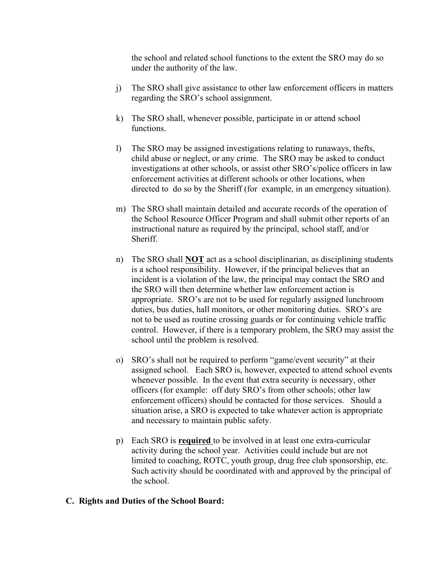the school and related school functions to the extent the SRO may do so under the authority of the law.

- j) The SRO shall give assistance to other law enforcement officers in matters regarding the SRO's school assignment.
- k) The SRO shall, whenever possible, participate in or attend school functions.
- l) The SRO may be assigned investigations relating to runaways, thefts, child abuse or neglect, or any crime. The SRO may be asked to conduct investigations at other schools, or assist other SRO's/police officers in law enforcement activities at different schools or other locations, when directed to do so by the Sheriff (for example, in an emergency situation).
- m) The SRO shall maintain detailed and accurate records of the operation of the School Resource Officer Program and shall submit other reports of an instructional nature as required by the principal, school staff, and/or **Sheriff**
- n) The SRO shall **NOT** act as a school disciplinarian, as disciplining students is a school responsibility. However, if the principal believes that an incident is a violation of the law, the principal may contact the SRO and the SRO will then determine whether law enforcement action is appropriate. SRO's are not to be used for regularly assigned lunchroom duties, bus duties, hall monitors, or other monitoring duties. SRO's are not to be used as routine crossing guards or for continuing vehicle traffic control. However, if there is a temporary problem, the SRO may assist the school until the problem is resolved.
- o) SRO's shall not be required to perform "game/event security" at their assigned school. Each SRO is, however, expected to attend school events whenever possible. In the event that extra security is necessary, other officers (for example: off duty SRO's from other schools; other law enforcement officers) should be contacted for those services. Should a situation arise, a SRO is expected to take whatever action is appropriate and necessary to maintain public safety.
- p) Each SRO is **required** to be involved in at least one extra-curricular activity during the school year. Activities could include but are not limited to coaching, ROTC, youth group, drug free club sponsorship, etc. Such activity should be coordinated with and approved by the principal of the school.

#### **C. Rights and Duties of the School Board:**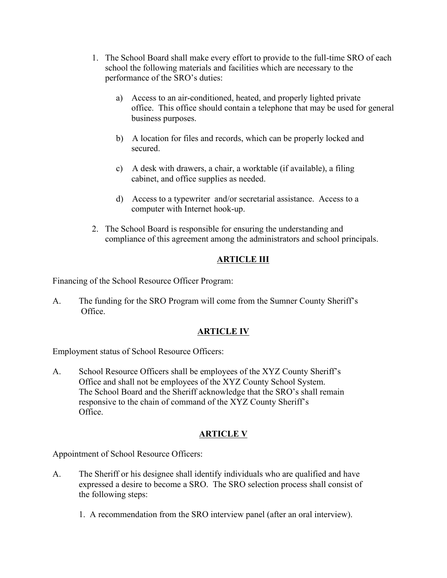- 1. The School Board shall make every effort to provide to the full-time SRO of each school the following materials and facilities which are necessary to the performance of the SRO's duties:
	- a) Access to an air-conditioned, heated, and properly lighted private office. This office should contain a telephone that may be used for general business purposes.
	- b) A location for files and records, which can be properly locked and secured.
	- c) A desk with drawers, a chair, a worktable (if available), a filing cabinet, and office supplies as needed.
	- d) Access to a typewriter and/or secretarial assistance. Access to a computer with Internet hook-up.
- 2. The School Board is responsible for ensuring the understanding and compliance of this agreement among the administrators and school principals.

# **ARTICLE III**

Financing of the School Resource Officer Program:

A. The funding for the SRO Program will come from the Sumner County Sheriff's Office.

# **ARTICLE IV**

Employment status of School Resource Officers:

A. School Resource Officers shall be employees of the XYZ County Sheriff's Office and shall not be employees of the XYZ County School System. The School Board and the Sheriff acknowledge that the SRO's shall remain responsive to the chain of command of the XYZ County Sheriff's Office.

# **ARTICLE V**

Appointment of School Resource Officers:

- A. The Sheriff or his designee shall identify individuals who are qualified and have expressed a desire to become a SRO. The SRO selection process shall consist of the following steps:
	- 1. A recommendation from the SRO interview panel (after an oral interview).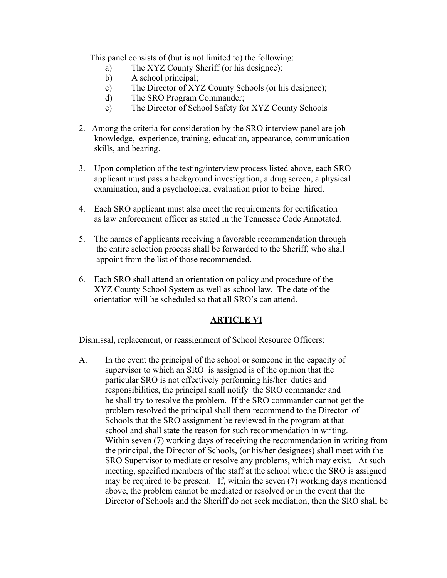This panel consists of (but is not limited to) the following:

- a) The XYZ County Sheriff (or his designee):
- b) A school principal;
- c) The Director of XYZ County Schools (or his designee);
- d) The SRO Program Commander;
- e) The Director of School Safety for XYZ County Schools
- 2. Among the criteria for consideration by the SRO interview panel are job knowledge, experience, training, education, appearance, communication skills, and bearing.
- 3. Upon completion of the testing/interview process listed above, each SRO applicant must pass a background investigation, a drug screen, a physical examination, and a psychological evaluation prior to being hired.
- 4. Each SRO applicant must also meet the requirements for certification as law enforcement officer as stated in the Tennessee Code Annotated.
- 5. The names of applicants receiving a favorable recommendation through the entire selection process shall be forwarded to the Sheriff, who shall appoint from the list of those recommended.
- 6. Each SRO shall attend an orientation on policy and procedure of the XYZ County School System as well as school law. The date of the orientation will be scheduled so that all SRO's can attend.

## **ARTICLE VI**

Dismissal, replacement, or reassignment of School Resource Officers:

A. In the event the principal of the school or someone in the capacity of supervisor to which an SRO is assigned is of the opinion that the particular SRO is not effectively performing his/her duties and responsibilities, the principal shall notify the SRO commander and he shall try to resolve the problem. If the SRO commander cannot get the problem resolved the principal shall them recommend to the Director of Schools that the SRO assignment be reviewed in the program at that school and shall state the reason for such recommendation in writing. Within seven (7) working days of receiving the recommendation in writing from the principal, the Director of Schools, (or his/her designees) shall meet with the SRO Supervisor to mediate or resolve any problems, which may exist. At such meeting, specified members of the staff at the school where the SRO is assigned may be required to be present. If, within the seven (7) working days mentioned above, the problem cannot be mediated or resolved or in the event that the Director of Schools and the Sheriff do not seek mediation, then the SRO shall be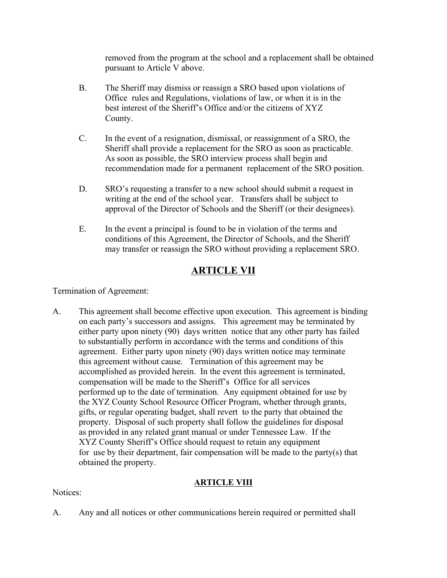removed from the program at the school and a replacement shall be obtained pursuant to Article V above.

- B. The Sheriff may dismiss or reassign a SRO based upon violations of Office rules and Regulations, violations of law, or when it is in the best interest of the Sheriff's Office and/or the citizens of XYZ County.
- C. In the event of a resignation, dismissal, or reassignment of a SRO, the Sheriff shall provide a replacement for the SRO as soon as practicable. As soon as possible, the SRO interview process shall begin and recommendation made for a permanent replacement of the SRO position.
- D. SRO's requesting a transfer to a new school should submit a request in writing at the end of the school year. Transfers shall be subject to approval of the Director of Schools and the Sheriff (or their designees).
- E. In the event a principal is found to be in violation of the terms and conditions of this Agreement, the Director of Schools, and the Sheriff may transfer or reassign the SRO without providing a replacement SRO.

# **ARTICLE VII**

Termination of Agreement:

A. This agreement shall become effective upon execution. This agreement is binding on each party's successors and assigns. This agreement may be terminated by either party upon ninety (90) days written notice that any other party has failed to substantially perform in accordance with the terms and conditions of this agreement. Either party upon ninety (90) days written notice may terminate this agreement without cause. Termination of this agreement may be accomplished as provided herein. In the event this agreement is terminated, compensation will be made to the Sheriff's Office for all services performed up to the date of termination. Any equipment obtained for use by the XYZ County School Resource Officer Program, whether through grants, gifts, or regular operating budget, shall revert to the party that obtained the property. Disposal of such property shall follow the guidelines for disposal as provided in any related grant manual or under Tennessee Law. If the XYZ County Sheriff's Office should request to retain any equipment for use by their department, fair compensation will be made to the party(s) that obtained the property.

## **ARTICLE VIII**

# Notices:

A. Any and all notices or other communications herein required or permitted shall